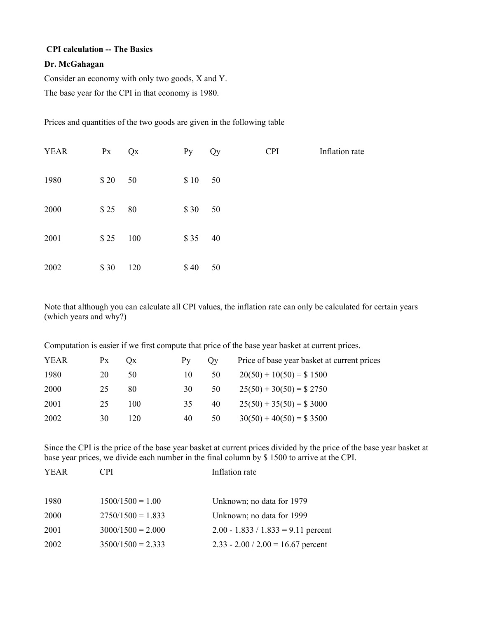## **CPI calculation -- The Basics**

## **Dr. McGahagan**

Consider an economy with only two goods, X and Y.

The base year for the CPI in that economy is 1980.

Prices and quantities of the two goods are given in the following table

| <b>YEAR</b> | $P_{X}$ | QX  | Py   | Qy | <b>CPI</b> | Inflation rate |
|-------------|---------|-----|------|----|------------|----------------|
| 1980        | \$20    | 50  | \$10 | 50 |            |                |
| 2000        | \$25    | 80  | \$30 | 50 |            |                |
| 2001        | \$25    | 100 | \$35 | 40 |            |                |
| 2002        | \$30    | 120 | \$40 | 50 |            |                |

Note that although you can calculate all CPI values, the inflation rate can only be calculated for certain years (which years and why?)

Computation is easier if we first compute that price of the base year basket at current prices.

| <b>YEAR</b> | Px | $O_{X}$ | $P_{V}$ | Ov | Price of base year basket at current prices |
|-------------|----|---------|---------|----|---------------------------------------------|
| 1980        | 20 | 50      | 10      | 50 | $20(50) + 10(50) = $ 1500$                  |
| 2000        | 25 | 80      | 30      | 50 | $25(50) + 30(50) = $2750$                   |
| 2001        | 25 | 100     | 35      | 40 | $25(50) + 35(50) = $3000$                   |
| 2002        | 30 | 120     | 40      | 50 | $30(50) + 40(50) = $3500$                   |

Since the CPI is the price of the base year basket at current prices divided by the price of the base year basket at base year prices, we divide each number in the final column by \$ 1500 to arrive at the CPI.

| <b>YEAR</b> | CPI                 | Inflation rate                        |
|-------------|---------------------|---------------------------------------|
| 1980        | $1500/1500 = 1.00$  | Unknown; no data for 1979             |
| <b>2000</b> | $2750/1500 = 1.833$ | Unknown; no data for 1999             |
| 2001        | $3000/1500 = 2.000$ | $2.00 - 1.833 / 1.833 = 9.11$ percent |
| 2002        | $3500/1500 = 2.333$ | $2.33 - 2.00 / 2.00 = 16.67$ percent  |